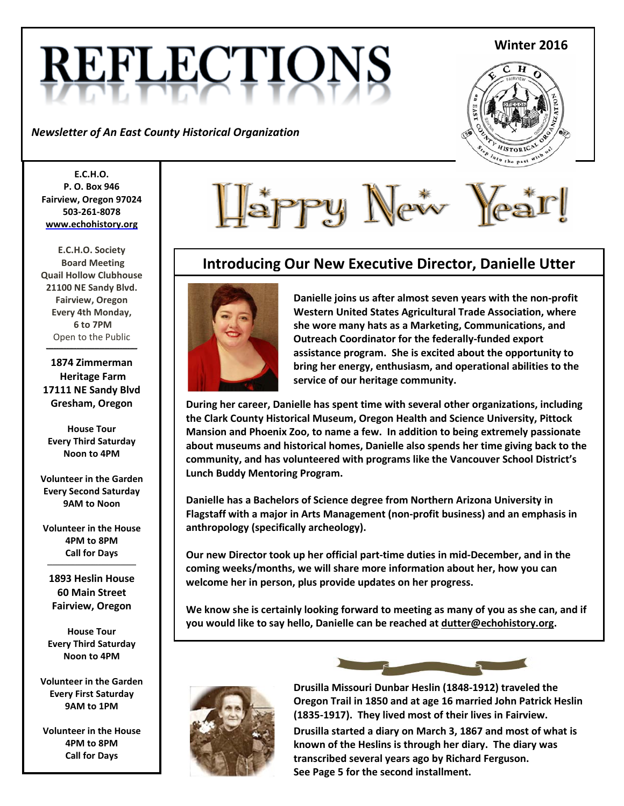# **REFLECTIO**

*Newsletter of An East County Historical Organization* 

#### **Winter 2016**



**E.C.H.O. P. O. Box 946 Fairview, Oregon 97024 503-261-8078 [www.echohistory.org](http://www.echohistory.org/)**

**E.C.H.O. Society Board Meeting Quail Hollow Clubhouse 21100 NE Sandy Blvd. Fairview, Oregon Every 4th Monday, 6 to 7PM** Open to the Public

**1874 Zimmerman Heritage Farm 17111 NE Sandy Blvd Gresham, Oregon**

**\_\_\_\_\_\_\_\_\_\_\_\_\_\_\_\_\_\_\_\_\_\_\_\_\_\_\_\_\_\_\_\_\_\_\_\_**

**House Tour Every Third Saturday Noon to 4PM**

**Volunteer in the Garden Every Second Saturday 9AM to Noon**

**Volunteer in the House 4PM to 8PM Call for Days**

**\_\_\_\_\_\_\_\_\_\_\_\_\_\_\_\_\_\_\_\_\_\_\_\_\_\_\_\_\_\_\_\_\_\_\_**

**1893 Heslin House 60 Main Street Fairview, Oregon**

**House Tour Every Third Saturday Noon to 4PM**

**Volunteer in the Garden Every First Saturday 9AM to 1PM**

**Volunteer in the House 4PM to 8PM Call for Days**



# **Introducing Our New Executive Director, Danielle Utter**



**Danielle joins us after almost seven years with the non-profit Western United States Agricultural Trade Association, where she wore many hats as a Marketing, Communications, and Outreach Coordinator for the federally-funded export assistance program. She is excited about the opportunity to bring her energy, enthusiasm, and operational abilities to the service of our heritage community.**

**During her career, Danielle has spent time with several other organizations, including the Clark County Historical Museum, Oregon Health and Science University, Pittock Mansion and Phoenix Zoo, to name a few. In addition to being extremely passionate about museums and historical homes, Danielle also spends her time giving back to the community, and has volunteered with programs like the Vancouver School District's Lunch Buddy Mentoring Program.**

**Danielle has a Bachelors of Science degree from Northern Arizona University in Flagstaff with a major in Arts Management (non-profit business) and an emphasis in anthropology (specifically archeology).**

**Our new Director took up her official part-time duties in mid-December, and in the coming weeks/months, we will share more information about her, how you can welcome her in person, plus provide updates on her progress.**

**We know she is certainly looking forward to meeting as many of you as she can, and if you would like to say hello, Danielle can be reached at dutter@echohistory.org.**





**Drusilla Missouri Dunbar Heslin (1848-1912) traveled the Oregon Trail in 1850 and at age 16 married John Patrick Heslin (1835-1917). They lived most of their lives in Fairview.**

**Drusilla started a diary on March 3, 1867 and most of what is known of the Heslins is through her diary. The diary was transcribed several years ago by Richard Ferguson. See Page 5 for the second installment.**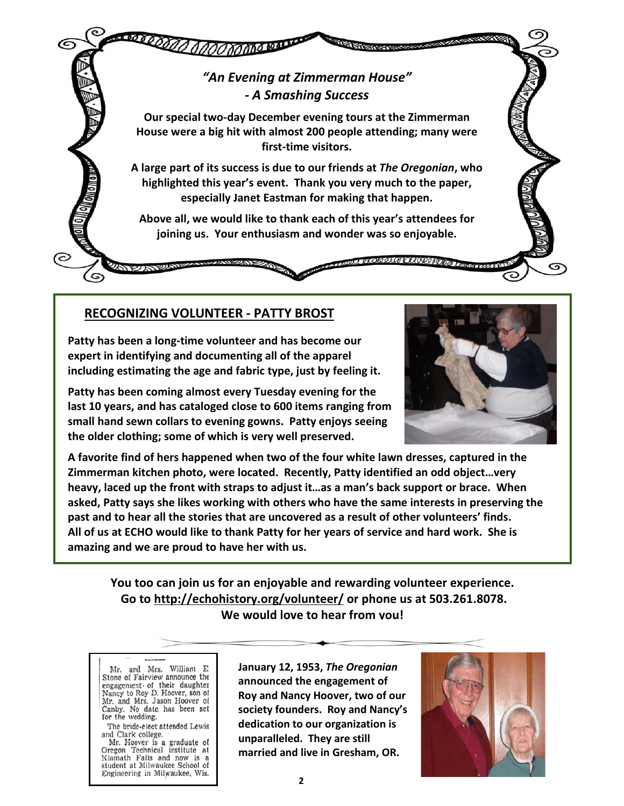

# **RECOGNIZING VOLUNTEER - PATTY BROST**

**Patty has been a long-time volunteer and has become our expert in identifying and documenting all of the apparel including estimating the age and fabric type, just by feeling it.**

**Patty has been coming almost every Tuesday evening for the last 10 years, and has cataloged close to 600 items ranging from small hand sewn collars to evening gowns. Patty enjoys seeing the older clothing; some of which is very well preserved.** 



**A favorite find of hers happened when two of the four white lawn dresses, captured in the Zimmerman kitchen photo, were located. Recently, Patty identified an odd object…very heavy, laced up the front with straps to adjust it…as a man's back support or brace. When asked, Patty says she likes working with others who have the same interests in preserving the past and to hear all the stories that are uncovered as a result of other volunteers' finds. All of us at ECHO would like to thank Patty for her years of service and hard work. She is amazing and we are proud to have her with us.**

**You too can join us for an enjoyable and rewarding volunteer experience. Go to <http://echohistory.org/volunteer/> or phone us at 503.261.8078. We would love to hear from you!**

Mr. and Mrs. William E. Stone of Fairview announce the engagement of their daughter Nancy to Roy D. Hoover, son of Mr. and Mrs. Jason Hoover of Canby. No date has been set for the wedding.

The bride-elect attended Lewis and Clark college.

Mr. Hoover is a graduate of<br>Oregon Technical institute at Klamath Falls and now is a student at Milwaukee School of Engineering in Milwaukee, Wis.

**January 12, 1953,** *The Oregonian* **announced the engagement of Roy and Nancy Hoover, two of our society founders. Roy and Nancy's dedication to our organization is unparalleled. They are still married and live in Gresham, OR.**

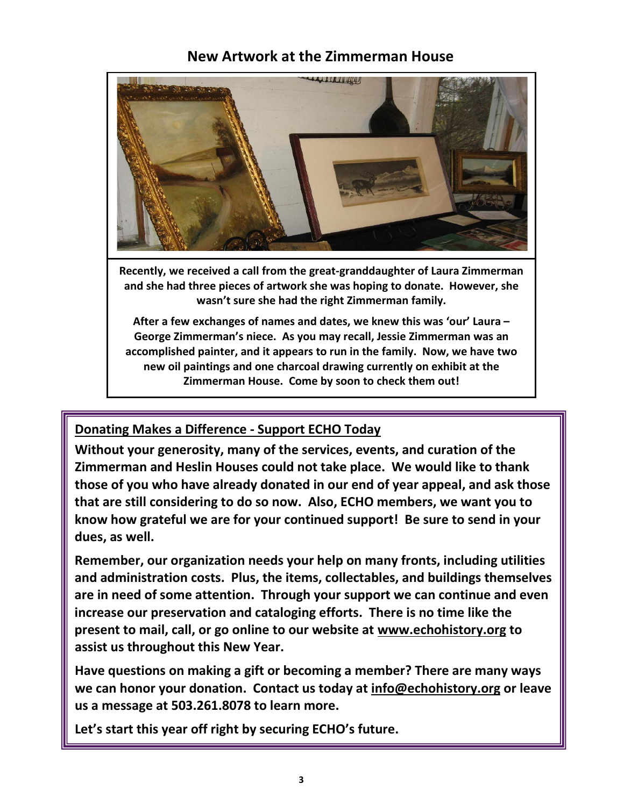# **New Artwork at the Zimmerman House**



**Recently, we received a call from the great-granddaughter of Laura Zimmerman and she had three pieces of artwork she was hoping to donate. However, she wasn't sure she had the right Zimmerman family.**

**After a few exchanges of names and dates, we knew this was 'our' Laura – George Zimmerman's niece. As you may recall, Jessie Zimmerman was an accomplished painter, and it appears to run in the family. Now, we have two new oil paintings and one charcoal drawing currently on exhibit at the Zimmerman House. Come by soon to check them out!**

# **Donating Makes a Difference - Support ECHO Today**

**Without your generosity, many of the services, events, and curation of the Zimmerman and Heslin Houses could not take place. We would like to thank those of you who have already donated in our end of year appeal, and ask those that are still considering to do so now. Also, ECHO members, we want you to know how grateful we are for your continued support! Be sure to send in your dues, as well.**

**Remember, our organization needs your help on many fronts, including utilities and administration costs. Plus, the items, collectables, and buildings themselves are in need of some attention. Through your support we can continue and even increase our preservation and cataloging efforts. There is no time like the present to mail, call, or go online to our website at [www.echohistory.org](http://www.echohistory.org/) to assist us throughout this New Year.**

**Have questions on making a gift or becoming a member? There are many ways we can honor your donation. Contact us today at [info@echohistory.org](mailto:info@echohistory.org) or leave us a message at 503.261.8078 to learn more.**

**Let's start this year off right by securing ECHO's future.**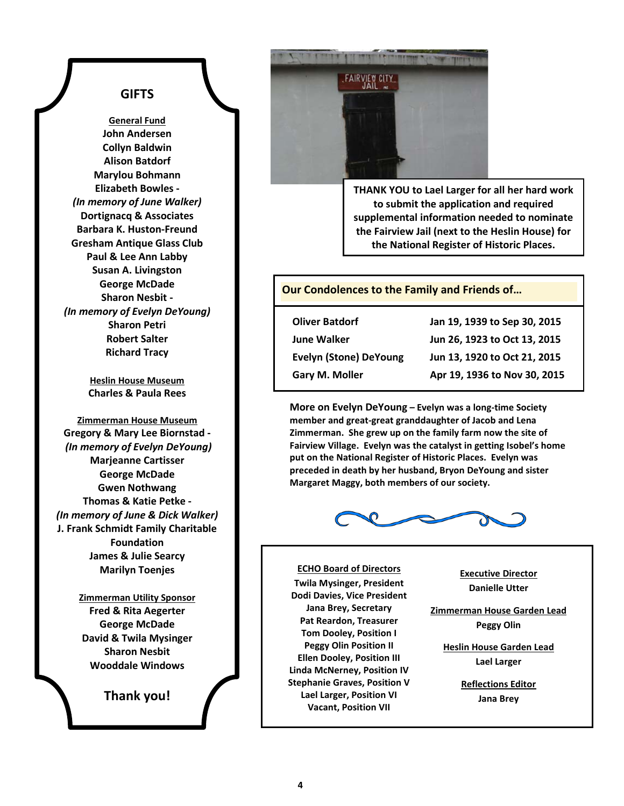# **GIFTS**

**General Fund John Andersen Collyn Baldwin Alison Batdorf Marylou Bohmann Elizabeth Bowles -** *(In memory of June Walker)* **Dortignacq & Associates Barbara K. Huston-Freund Gresham Antique Glass Club Paul & Lee Ann Labby Susan A. Livingston George McDade Sharon Nesbit -** *(In memory of Evelyn DeYoung)* **Sharon Petri Robert Salter Richard Tracy**

> **Heslin House Museum Charles & Paula Rees**

**Zimmerman House Museum Gregory & Mary Lee Biornstad -** *(In memory of Evelyn DeYoung)* **Marjeanne Cartisser George McDade Gwen Nothwang Thomas & Katie Petke -** *(In memory of June & Dick Walker)* **J. Frank Schmidt Family Charitable Foundation James & Julie Searcy Marilyn Toenjes**

> **Zimmerman Utility Sponsor Fred & Rita Aegerter George McDade David & Twila Mysinger Sharon Nesbit Wooddale Windows**

> > **Thank you!**



**THANK YOU to Lael Larger for all her hard work to submit the application and required supplemental information needed to nominate the Fairview Jail (next to the Heslin House) for the National Register of Historic Places.**

#### **Our Condolences to the Family and Friends of…**

| <b>Oliver Batdorf</b>         | Jan 19, 1939 to Sep 30, 2015 |
|-------------------------------|------------------------------|
| <b>June Walker</b>            | Jun 26, 1923 to Oct 13, 2015 |
| <b>Evelyn (Stone) DeYoung</b> | Jun 13, 1920 to Oct 21, 2015 |
| Gary M. Moller                | Apr 19, 1936 to Nov 30, 2015 |

**More on Evelyn DeYoung – Evelyn was a long-time Society member and great-great granddaughter of Jacob and Lena Zimmerman. She grew up on the family farm now the site of Fairview Village. Evelyn was the catalyst in getting Isobel's home put on the National Register of Historic Places. Evelyn was preceded in death by her husband, Bryon DeYoung and sister Margaret Maggy, both members of our society.**



#### **ECHO Board of Directors**

**Twila Mysinger, President Dodi Davies, Vice President Jana Brey, Secretary Pat Reardon, Treasurer Tom Dooley, Position I Peggy Olin Position II Ellen Dooley, Position III Linda McNerney, Position IV Stephanie Graves, Position V Lael Larger, Position VI Vacant, Position VII**

**Executive Director Danielle Utter**

**Zimmerman House Garden Lead Peggy Olin**

**Heslin House Garden Lead Lael Larger**

> **Reflections Editor Jana Brey**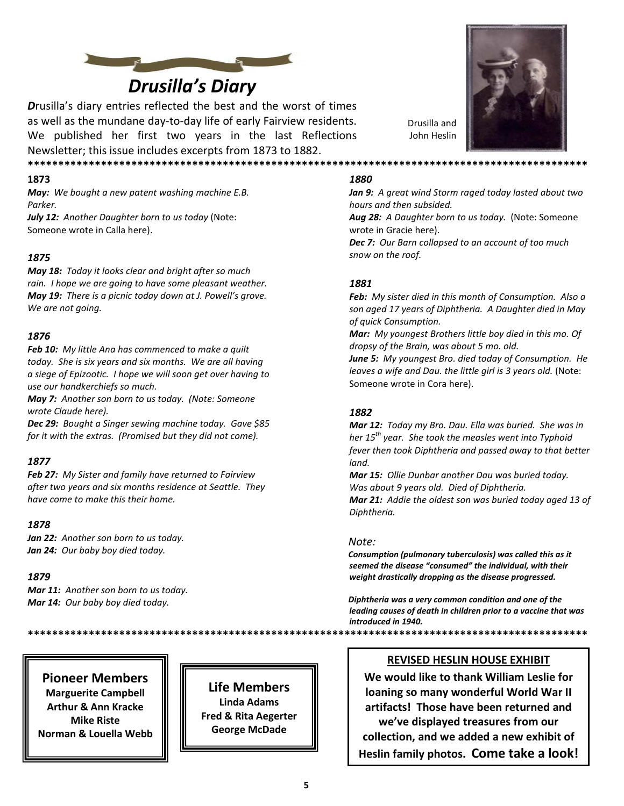

# *Drusilla's Diary*

*D*rusilla's diary entries reflected the best and the worst of times as well as the mundane day-to-day life of early Fairview residents. We published her first two years in the last Reflections Newsletter; this issue includes excerpts from 1873 to 1882. **\*\*\*\*\*\*\*\*\*\*\*\*\*\*\*\*\*\*\*\*\*\*\*\*\*\*\*\*\*\*\*\*\*\*\*\*\*\*\*\*\*\*\*\*\*\*\*\*\*\*\*\*\*\*\*\*\*\*\*\*\*\*\*\*\*\*\*\*\*\*\*\*\*\*\*\*\*\*\*\*\*\*\*\*\*\*\*\*\*\*\*\***

#### **1873**

*May: We bought a new patent washing machine E.B. Parker.*

*July 12: Another Daughter born to us today* (Note: Someone wrote in Calla here).

#### *1875*

*May 18: Today it looks clear and bright after so much rain. I hope we are going to have some pleasant weather. May 19: There is a picnic today down at J. Powell's grove. We are not going.*

#### *1876*

*Feb 10: My little Ana has commenced to make a quilt today. She is six years and six months. We are all having a siege of Epizootic. I hope we will soon get over having to use our handkerchiefs so much.*

*May 7: Another son born to us today. (Note: Someone wrote Claude here).*

*Dec 29: Bought a Singer sewing machine today. Gave \$85 for it with the extras. (Promised but they did not come).*

#### *1877*

*Feb 27: My Sister and family have returned to Fairview after two years and six months residence at Seattle. They have come to make this their home.*

#### *1878*

*Jan 22: Another son born to us today. Jan 24: Our baby boy died today.*

#### *1879*

F

*Mar 11: Another son born to us today. Mar 14: Our baby boy died today.*

# *1880*

*Jan 9: A great wind Storm raged today lasted about two hours and then subsided.*

Drusilla and John Heslin

*Aug 28: A Daughter born to us today.* (Note: Someone wrote in Gracie here).

*Dec 7: Our Barn collapsed to an account of too much snow on the roof.*

#### *1881*

*Feb: My sister died in this month of Consumption. Also a son aged 17 years of Diphtheria. A Daughter died in May of quick Consumption.*

*Mar: My youngest Brothers little boy died in this mo. Of dropsy of the Brain, was about 5 mo. old.*

*June 5: My youngest Bro. died today of Consumption. He*  leaves a wife and Dau. the little girl is 3 years old. (Note: Someone wrote in Cora here).

#### *1882*

*Mar 12: Today my Bro. Dau. Ella was buried. She was in her 15th year. She took the measles went into Typhoid fever then took Diphtheria and passed away to that better land.*

*Mar 15: Ollie Dunbar another Dau was buried today. Was about 9 years old. Died of Diphtheria. Mar 21: Addie the oldest son was buried today aged 13 of Diphtheria.*

#### *Note:*

*Consumption (pulmonary tuberculosis) was called this as it seemed the disease "consumed" the individual, with their weight drastically dropping as the disease progressed.*

*Diphtheria was a very common condition and one of the leading causes of death in children prior to a vaccine that was introduced in 1940.*

**\*\*\*\*\*\*\*\*\*\*\*\*\*\*\*\*\*\*\*\*\*\*\*\*\*\*\*\*\*\*\*\*\*\*\*\*\*\*\*\*\*\*\*\*\*\*\*\*\*\*\*\*\*\*\*\*\*\*\*\*\*\*\*\*\*\*\*\*\*\*\*\*\*\*\*\*\*\*\*\*\*\*\*\*\*\*\*\*\*\*\*\***

#### **REVISED HESLIN HOUSE EXHIBIT**

**We would like to thank William Leslie for loaning so many wonderful World War II artifacts! Those have been returned and we've displayed treasures from our collection, and we added a new exhibit of Heslin family photos. Come take a look!**

**Life Members**  $\parallel \parallel \parallel$  Life Members **Marguerite Campbell Arthur & Ann Kracke Mike Riste Norman & Louella Webb**

**Linda Adams Fred & Rita Aegerter George McDade**